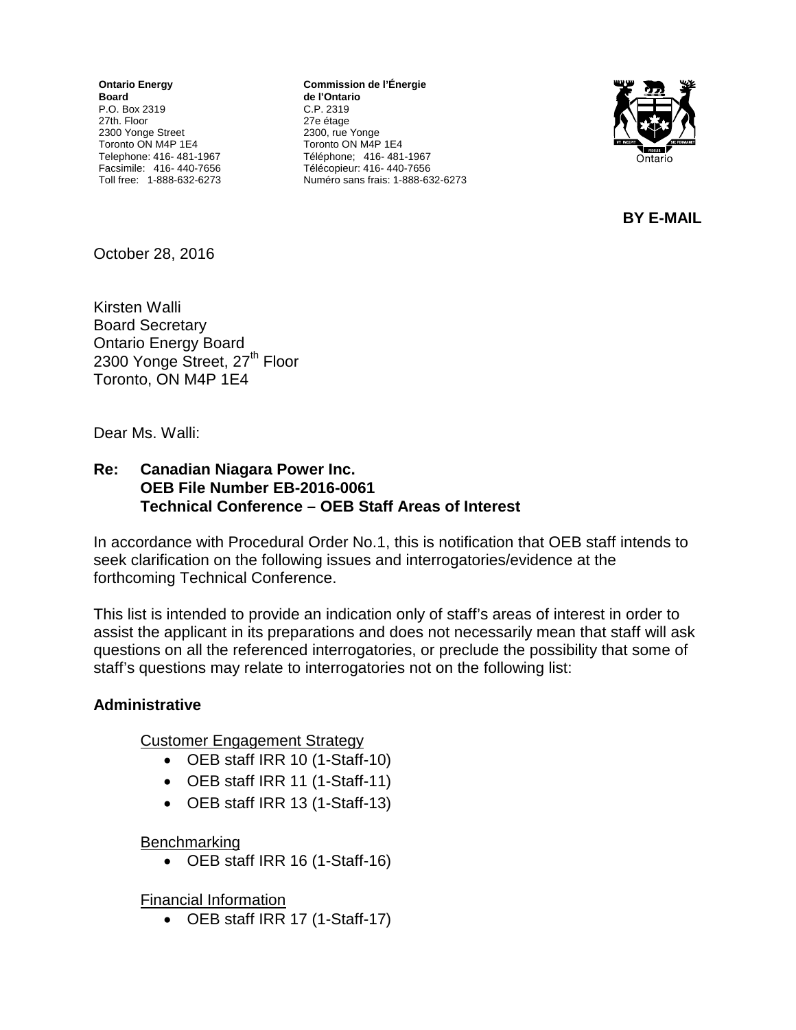**Ontario Energy Board** P.O. Box 2319 27th. Floor 2300 Yonge Street Toronto ON M4P 1E4 Telephone: 416- 481-1967 Facsimile: 416- 440-7656 Toll free: 1-888-632-6273

**Commission de l'Énergie de l'Ontario** C.P. 2319 27e étage 2300, rue Yonge Toronto ON M4P 1E4 Téléphone; 416- 481-1967 Télécopieur: 416- 440-7656 Numéro sans frais: 1-888-632-6273



**BY E-MAIL**

October 28, 2016

Kirsten Walli Board Secretary Ontario Energy Board 2300 Yonge Street, 27<sup>th</sup> Floor Toronto, ON M4P 1E4

Dear Ms. Walli:

#### **Re: Canadian Niagara Power Inc. OEB File Number EB-2016-0061 Technical Conference – OEB Staff Areas of Interest**

In accordance with Procedural Order No.1, this is notification that OEB staff intends to seek clarification on the following issues and interrogatories/evidence at the forthcoming Technical Conference.

This list is intended to provide an indication only of staff's areas of interest in order to assist the applicant in its preparations and does not necessarily mean that staff will ask questions on all the referenced interrogatories, or preclude the possibility that some of staff's questions may relate to interrogatories not on the following list:

#### **Administrative**

Customer Engagement Strategy

- OEB staff IRR 10 (1-Staff-10)
- OEB staff IRR 11 (1-Staff-11)
- OEB staff IRR 13 (1-Staff-13)

#### Benchmarking

• OEB staff IRR 16 (1-Staff-16)

Financial Information

• OEB staff IRR 17 (1-Staff-17)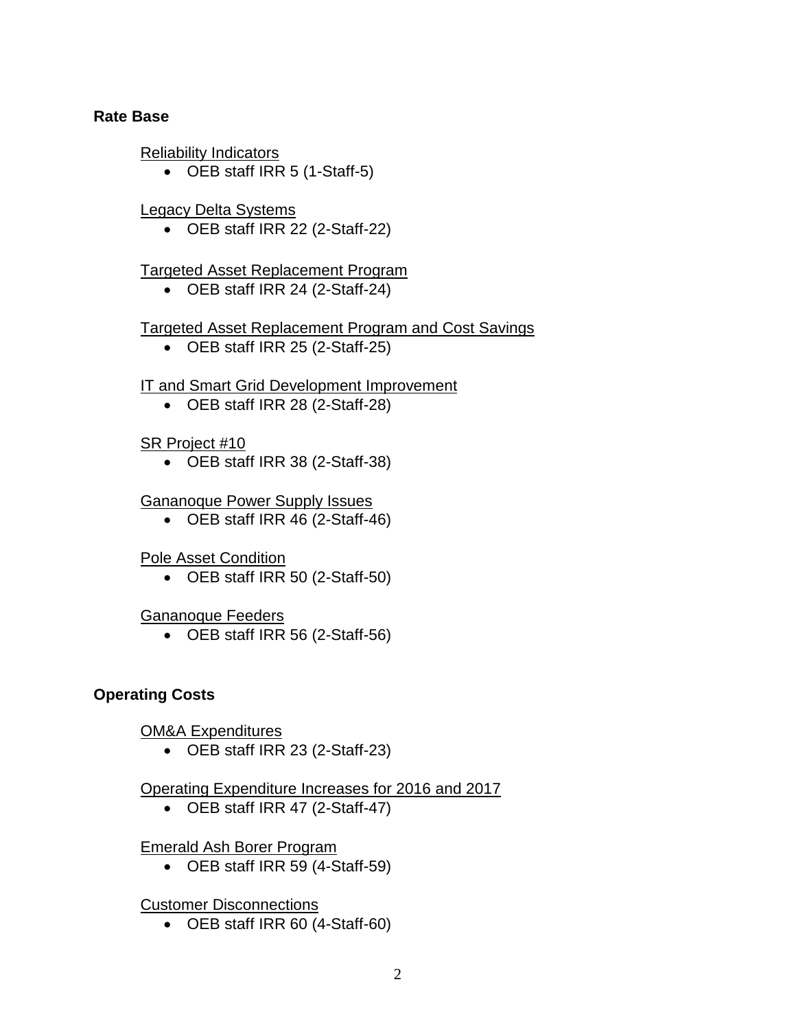#### **Rate Base**

Reliability Indicators

• OEB staff IRR 5 (1-Staff-5)

## Legacy Delta Systems

• OEB staff IRR 22 (2-Staff-22)

# Targeted Asset Replacement Program

• OEB staff IRR 24 (2-Staff-24)

# Targeted Asset Replacement Program and Cost Savings

• OEB staff IRR 25 (2-Staff-25)

# **IT and Smart Grid Development Improvement**

• OEB staff IRR 28 (2-Staff-28)

## SR Project #10

• OEB staff IRR 38 (2-Staff-38)

## Gananoque Power Supply Issues

• OEB staff IRR 46 (2-Staff-46)

## Pole Asset Condition

• OEB staff IRR 50 (2-Staff-50)

## Gananoque Feeders

• OEB staff IRR 56 (2-Staff-56)

## **Operating Costs**

## OM&A Expenditures

• OEB staff IRR 23 (2-Staff-23)

# Operating Expenditure Increases for 2016 and 2017

• OEB staff IRR 47 (2-Staff-47)

## Emerald Ash Borer Program

• OEB staff IRR 59 (4-Staff-59)

## Customer Disconnections

• OEB staff IRR 60 (4-Staff-60)